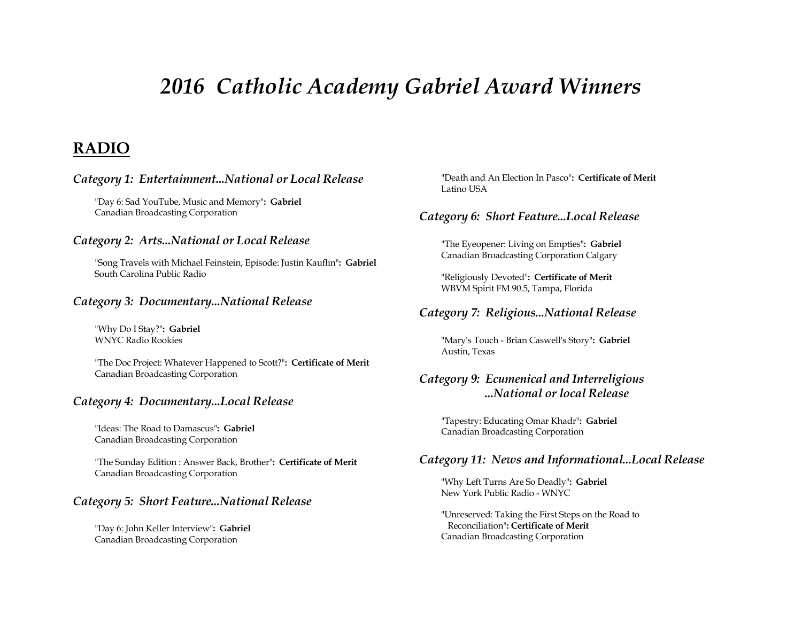# *2016 Catholic Academy Gabriel Award Winners*

# **RADIO**

#### *Category 1: Entertainment...National or Local Release*

"Day 6: Sad YouTube, Music and Memory"**: Gabriel** Canadian Broadcasting Corporation

#### *Category 2: Arts...National or Local Release*

"Song Travels with Michael Feinstein, Episode: Justin Kauflin"**: Gabriel** South Carolina Public Radio

#### *Category 3: Documentary...National Release*

"Why Do I Stay?"**: Gabriel** WNYC Radio Rookies

"The Doc Project: Whatever Happened to Scott?"**: Certificate of Merit** Canadian Broadcasting Corporation

#### *Category 4: Documentary...Local Release*

"Ideas: The Road to Damascus"**: Gabriel** Canadian Broadcasting Corporation

"The Sunday Edition : Answer Back, Brother"**: Certificate of Merit** Canadian Broadcasting Corporation

#### *Category 5: Short Feature...National Release*

"Day 6: John Keller Interview"**: Gabriel** Canadian Broadcasting Corporation

"Death and An Election In Pasco"**: Certificate of Merit** Latino USA

#### *Category 6: Short Feature...Local Release*

"The Eyeopener: Living on Empties"**: Gabriel** Canadian Broadcasting Corporation Calgary

"Religiously Devoted"**: Certificate of Merit** WBVM Spirit FM 90.5, Tampa, Florida

#### *Category 7: Religious...National Release*

"Mary's Touch - Brian Caswell's Story"**: Gabriel** Austin, Texas

# *Category 9: Ecumenical and Interreligious ...National or local Release*

"Tapestry: Educating Omar Khadr"**: Gabriel** Canadian Broadcasting Corporation

#### *Category 11: News and Informational...Local Release*

"Why Left Turns Are So Deadly"**: Gabriel** New York Public Radio - WNYC

"Unreserved: Taking the First Steps on the Road to Reconciliation"**: Certificate of Merit** Canadian Broadcasting Corporation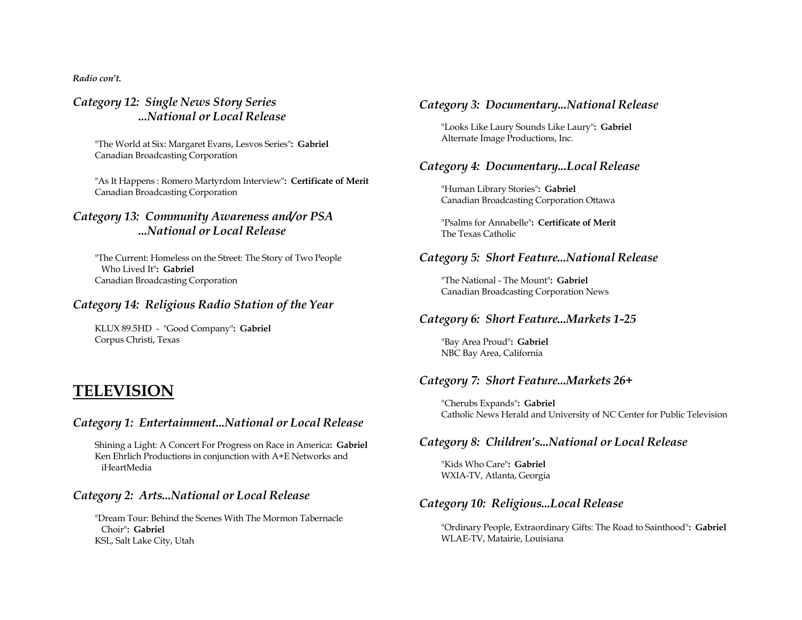*Radio con't.*

# *Category 12: Single News Story Series ...National or Local Release*

"The World at Six: Margaret Evans, Lesvos Series"**: Gabriel** Canadian Broadcasting Corporation

"As It Happens : Romero Martyrdom Interview"**: Certificate of Merit** Canadian Broadcasting Corporation

# *Category 13: Community Awareness and/or PSA ...National or Local Release*

"The Current: Homeless on the Street: The Story of Two People Who Lived It"**: Gabriel** Canadian Broadcasting Corporation

# *Category 14: Religious Radio Station of the Year*

KLUX 89.5HD - "Good Company"**: Gabriel** Corpus Christi, Texas

# **TELEVISION**

#### *Category 1: Entertainment...National or Local Release*

Shining a Light: A Concert For Progress on Race in America**: Gabriel** Ken Ehrlich Productions in conjunction with A+E Networks and iHeartMedia

# *Category 2: Arts...National or Local Release*

"Dream Tour: Behind the Scenes With The Mormon Tabernacle Choir"**: Gabriel** KSL, Salt Lake City, Utah

# *Category 3: Documentary...National Release*

"Looks Like Laury Sounds Like Laury"**: Gabriel** Alternate Image Productions, Inc.

# *Category 4: Documentary...Local Release*

"Human Library Stories"**: Gabriel** Canadian Broadcasting Corporation Ottawa

"Psalms for Annabelle"**: Certificate of Merit** The Texas Catholic

# *Category 5: Short Feature...National Release*

"The National - The Mount"**: Gabriel** Canadian Broadcasting Corporation News

# *Category 6: Short Feature...Markets 1-25*

"Bay Area Proud"**: Gabriel** NBC Bay Area, California

# *Category 7: Short Feature...Markets 26+*

"Cherubs Expands"**: Gabriel** Catholic News Herald and University of NC Center for Public Television

# *Category 8: Children's...National or Local Release*

"Kids Who Care"**: Gabriel** WXIA-TV, Atlanta, Georgia

# *Category 10: Religious...Local Release*

"Ordinary People, Extraordinary Gifts: The Road to Sainthood"**: Gabriel** WLAE-TV, Matairie, Louisiana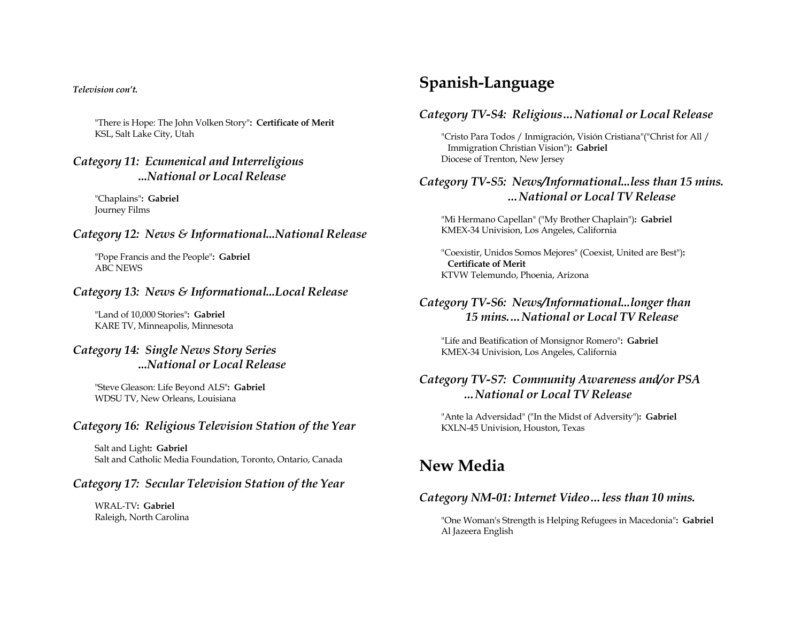#### *Television con't.*

"There is Hope: The John Volken Story"**: Certificate of Merit** KSL, Salt Lake City, Utah

### *Category 11: Ecumenical and Interreligious ...National or Local Release*

"Chaplains"**: Gabriel** Journey Films

### *Category 12: News & Informational...National Release*

"Pope Francis and the People"**: Gabriel** ABC NEWS

#### *Category 13: News & Informational...Local Release*

"Land of 10,000 Stories"**: Gabriel** KARE TV, Minneapolis, Minnesota

# *Category 14: Single News Story Series ...National or Local Release*

"Steve Gleason: Life Beyond ALS"**: Gabriel** WDSU TV, New Orleans, Louisiana

#### *Category 16: Religious Television Station of the Year*

Salt and Light**: Gabriel** Salt and Catholic Media Foundation, Toronto, Ontario, Canada

#### *Category 17: Secular Television Station of the Year*

WRAL-TV**: Gabriel** Raleigh, North Carolina

# **Spanish-Language**

#### *Category TV-S4: Religious…National or Local Release*

"Cristo Para Todos / Inmigración, Visión Cristiana"("Christ for All / Immigration Christian Vision")**: Gabriel** Diocese of Trenton, New Jersey

# *Category TV-S5: News/Informational...less than 15 mins. …National or Local TV Release*

"Mi Hermano Capellan" ("My Brother Chaplain")**: Gabriel** KMEX-34 Univision, Los Angeles, California

"Coexistir, Unidos Somos Mejores" (Coexist, United are Best")**: Certificate of Merit** KTVW Telemundo, Phoenia, Arizona

### *Category TV-S6: News/Informational...longer than 15 mins.…National or Local TV Release*

"Life and Beatification of Monsignor Romero"**: Gabriel** KMEX-34 Univision, Los Angeles, California

# *Category TV-S7: Community Awareness and/or PSA …National or Local TV Release*

"Ante la Adversidad" ("In the Midst of Adversity")**: Gabriel** KXLN-45 Univision, Houston, Texas

# **New Media**

#### *Category NM-01: Internet Video…less than 10 mins.*

"One Woman's Strength is Helping Refugees in Macedonia"**: Gabriel** Al Jazeera English